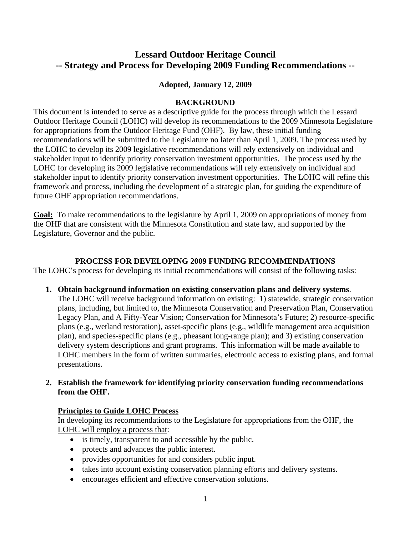# **Lessard Outdoor Heritage Council -- Strategy and Process for Developing 2009 Funding Recommendations --**

#### **Adopted, January 12, 2009**

#### **BACKGROUND**

This document is intended to serve as a descriptive guide for the process through which the Lessard Outdoor Heritage Council (LOHC) will develop its recommendations to the 2009 Minnesota Legislature for appropriations from the Outdoor Heritage Fund (OHF). By law, these initial funding recommendations will be submitted to the Legislature no later than April 1, 2009. The process used by the LOHC to develop its 2009 legislative recommendations will rely extensively on individual and stakeholder input to identify priority conservation investment opportunities. The process used by the LOHC for developing its 2009 legislative recommendations will rely extensively on individual and stakeholder input to identify priority conservation investment opportunities. The LOHC will refine this framework and process, including the development of a strategic plan, for guiding the expenditure of future OHF appropriation recommendations.

**Goal:** To make recommendations to the legislature by April 1, 2009 on appropriations of money from the OHF that are consistent with the Minnesota Constitution and state law, and supported by the Legislature, Governor and the public.

#### **PROCESS FOR DEVELOPING 2009 FUNDING RECOMMENDATIONS**

The LOHC's process for developing its initial recommendations will consist of the following tasks:

- **1. Obtain background information on existing conservation plans and delivery systems**.
	- The LOHC will receive background information on existing: 1) statewide, strategic conservation plans, including, but limited to, the Minnesota Conservation and Preservation Plan, Conservation Legacy Plan, and A Fifty-Year Vision; Conservation for Minnesota's Future; 2) resource-specific plans (e.g., wetland restoration), asset-specific plans (e.g., wildlife management area acquisition plan), and species-specific plans (e.g., pheasant long-range plan); and 3) existing conservation delivery system descriptions and grant programs. This information will be made available to LOHC members in the form of written summaries, electronic access to existing plans, and formal presentations.

# **2. Establish the framework for identifying priority conservation funding recommendations from the OHF.**

#### **Principles to Guide LOHC Process**

In developing its recommendations to the Legislature for appropriations from the OHF, the LOHC will employ a process that:

- is timely, transparent to and accessible by the public.
- protects and advances the public interest.
- provides opportunities for and considers public input.
- takes into account existing conservation planning efforts and delivery systems.
- encourages efficient and effective conservation solutions.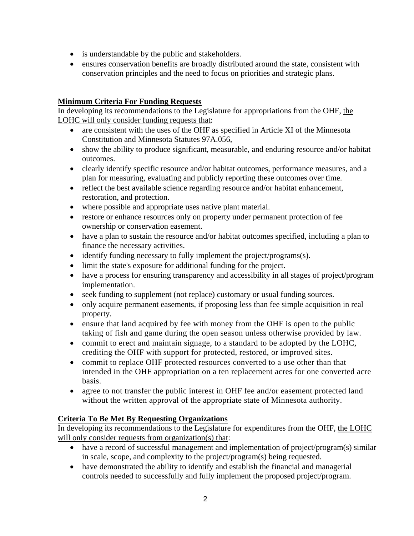- is understandable by the public and stakeholders.
- ensures conservation benefits are broadly distributed around the state, consistent with conservation principles and the need to focus on priorities and strategic plans.

# **Minimum Criteria For Funding Requests**

In developing its recommendations to the Legislature for appropriations from the OHF, the LOHC will only consider funding requests that:

- are consistent with the uses of the OHF as specified in Article XI of the Minnesota Constitution and Minnesota Statutes 97A.056,
- show the ability to produce significant, measurable, and enduring resource and/or habitat outcomes.
- clearly identify specific resource and/or habitat outcomes, performance measures, and a plan for measuring, evaluating and publicly reporting these outcomes over time.
- reflect the best available science regarding resource and/or habitat enhancement, restoration, and protection.
- where possible and appropriate uses native plant material.
- restore or enhance resources only on property under permanent protection of fee ownership or conservation easement.
- have a plan to sustain the resource and/or habitat outcomes specified, including a plan to finance the necessary activities.
- identify funding necessary to fully implement the project/programs(s).
- limit the state's exposure for additional funding for the project.
- have a process for ensuring transparency and accessibility in all stages of project/program implementation.
- seek funding to supplement (not replace) customary or usual funding sources.
- only acquire permanent easements, if proposing less than fee simple acquisition in real property.
- ensure that land acquired by fee with money from the OHF is open to the public taking of fish and game during the open season unless otherwise provided by law.
- commit to erect and maintain signage, to a standard to be adopted by the LOHC. crediting the OHF with support for protected, restored, or improved sites.
- commit to replace OHF protected resources converted to a use other than that intended in the OHF appropriation on a ten replacement acres for one converted acre basis.
- agree to not transfer the public interest in OHF fee and/or easement protected land without the written approval of the appropriate state of Minnesota authority.

# **Criteria To Be Met By Requesting Organizations**

In developing its recommendations to the Legislature for expenditures from the OHF, the LOHC will only consider requests from organization(s) that:

- have a record of successful management and implementation of project/program(s) similar in scale, scope, and complexity to the project/program(s) being requested.
- have demonstrated the ability to identify and establish the financial and managerial controls needed to successfully and fully implement the proposed project/program.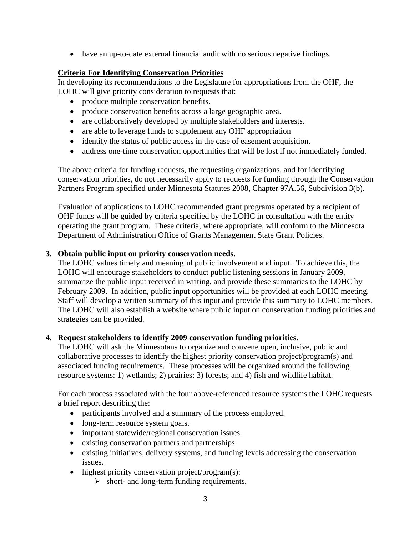• have an up-to-date external financial audit with no serious negative findings.

# **Criteria For Identifying Conservation Priorities**

In developing its recommendations to the Legislature for appropriations from the OHF, the LOHC will give priority consideration to requests that:

- produce multiple conservation benefits.
- produce conservation benefits across a large geographic area.
- are collaboratively developed by multiple stakeholders and interests.
- are able to leverage funds to supplement any OHF appropriation
- identify the status of public access in the case of easement acquisition.
- address one-time conservation opportunities that will be lost if not immediately funded.

The above criteria for funding requests, the requesting organizations, and for identifying conservation priorities, do not necessarily apply to requests for funding through the Conservation Partners Program specified under Minnesota Statutes 2008, Chapter 97A.56, Subdivision 3(b).

Evaluation of applications to LOHC recommended grant programs operated by a recipient of OHF funds will be guided by criteria specified by the LOHC in consultation with the entity operating the grant program. These criteria, where appropriate, will conform to the Minnesota Department of Administration Office of Grants Management State Grant Policies.

# **3. Obtain public input on priority conservation needs.**

The LOHC values timely and meaningful public involvement and input. To achieve this, the LOHC will encourage stakeholders to conduct public listening sessions in January 2009, summarize the public input received in writing, and provide these summaries to the LOHC by February 2009. In addition, public input opportunities will be provided at each LOHC meeting. Staff will develop a written summary of this input and provide this summary to LOHC members. The LOHC will also establish a website where public input on conservation funding priorities and strategies can be provided.

# **4. Request stakeholders to identify 2009 conservation funding priorities.**

The LOHC will ask the Minnesotans to organize and convene open, inclusive, public and collaborative processes to identify the highest priority conservation project/program(s) and associated funding requirements. These processes will be organized around the following resource systems: 1) wetlands; 2) prairies; 3) forests; and 4) fish and wildlife habitat.

For each process associated with the four above-referenced resource systems the LOHC requests a brief report describing the:

- participants involved and a summary of the process employed.
- long-term resource system goals.
- important statewide/regional conservation issues.
- existing conservation partners and partnerships.
- existing initiatives, delivery systems, and funding levels addressing the conservation issues.
- highest priority conservation project/program(s):
	- $\triangleright$  short- and long-term funding requirements.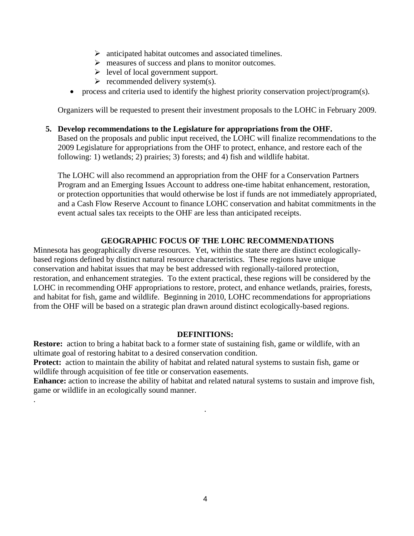- $\triangleright$  anticipated habitat outcomes and associated timelines.
- ¾ measures of success and plans to monitor outcomes.
- $\triangleright$  level of local government support.
- $\triangleright$  recommended delivery system(s).
- process and criteria used to identify the highest priority conservation project/program(s).

Organizers will be requested to present their investment proposals to the LOHC in February 2009.

#### **5. Develop recommendations to the Legislature for appropriations from the OHF.**

Based on the proposals and public input received, the LOHC will finalize recommendations to the 2009 Legislature for appropriations from the OHF to protect, enhance, and restore each of the following: 1) wetlands; 2) prairies; 3) forests; and 4) fish and wildlife habitat.

The LOHC will also recommend an appropriation from the OHF for a Conservation Partners Program and an Emerging Issues Account to address one-time habitat enhancement, restoration, or protection opportunities that would otherwise be lost if funds are not immediately appropriated, and a Cash Flow Reserve Account to finance LOHC conservation and habitat commitments in the event actual sales tax receipts to the OHF are less than anticipated receipts.

#### **GEOGRAPHIC FOCUS OF THE LOHC RECOMMENDATIONS**

Minnesota has geographically diverse resources. Yet, within the state there are distinct ecologicallybased regions defined by distinct natural resource characteristics. These regions have unique conservation and habitat issues that may be best addressed with regionally-tailored protection, restoration, and enhancement strategies. To the extent practical, these regions will be considered by the LOHC in recommending OHF appropriations to restore, protect, and enhance wetlands, prairies, forests, and habitat for fish, game and wildlife. Beginning in 2010, LOHC recommendations for appropriations from the OHF will be based on a strategic plan drawn around distinct ecologically-based regions.

#### **DEFINITIONS:**

**Restore:** action to bring a habitat back to a former state of sustaining fish, game or wildlife, with an ultimate goal of restoring habitat to a desired conservation condition.

**Protect:** action to maintain the ability of habitat and related natural systems to sustain fish, game or wildlife through acquisition of fee title or conservation easements.

.

**Enhance:** action to increase the ability of habitat and related natural systems to sustain and improve fish, game or wildlife in an ecologically sound manner.

.